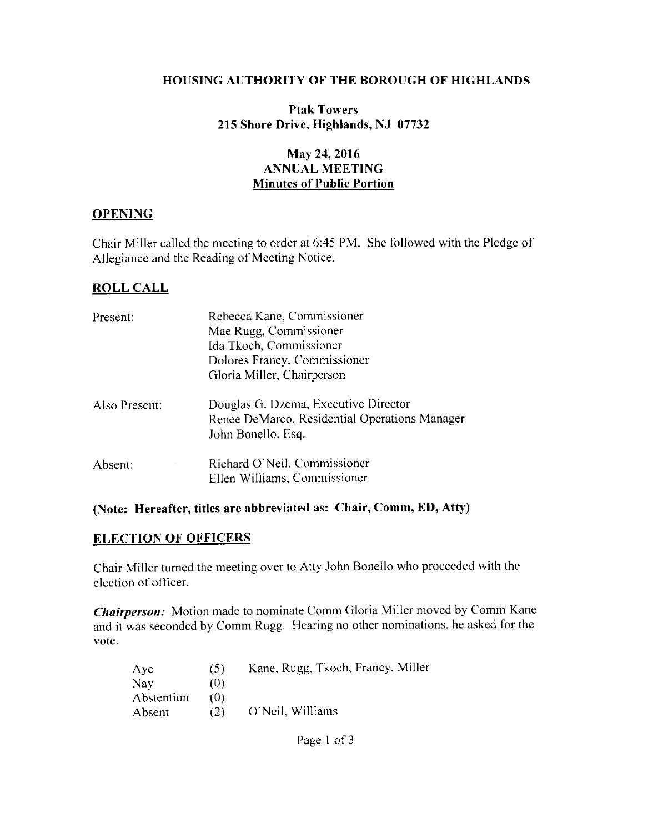#### **HOUSING AUTHORITY OF THE BOROUGH OF HIGHLANDS**

## **Ptak Towers** 215 Shore Drive, Highlands, NJ 07732

## May 24, 2016 **ANNUAL MEETING Minutes of Public Portion**

## **OPENING**

Chair Miller called the meeting to order at 6:45 PM. She followed with the Pledge of Allegiance and the Reading of Meeting Notice.

## **ROLL CALL**

| Present:      | Rebecca Kane, Commissioner                                                                                  |  |  |  |
|---------------|-------------------------------------------------------------------------------------------------------------|--|--|--|
|               | Mae Rugg, Commissioner                                                                                      |  |  |  |
|               | Ida Tkoch, Commissioner                                                                                     |  |  |  |
|               | Dolores Francy, Commissioner                                                                                |  |  |  |
|               | Gloria Miller, Chairperson                                                                                  |  |  |  |
| Also Present: | Douglas G. Dzema, Executive Director<br>Renee DeMarco, Residential Operations Manager<br>John Bonello, Esq. |  |  |  |
| Absent:       | Richard O'Neil, Commissioner<br>Ellen Williams, Commissioner                                                |  |  |  |

#### (Note: Hereafter, titles are abbreviated as: Chair, Comm, ED, Atty)

#### **ELECTION OF OFFICERS**

Chair Miller turned the meeting over to Atty John Bonello who proceeded with the election of officer.

Chairperson: Motion made to nominate Comm Gloria Miller moved by Comm Kane and it was seconded by Comm Rugg. Hearing no other nominations, he asked for the vote.

| Aye        | (5) | Kane, Rugg, Tkoch, Francy, Miller |
|------------|-----|-----------------------------------|
| Nay        | (0) |                                   |
| Abstention | 70) |                                   |
| Absent     | (2) | O'Neil, Williams                  |

Page 1 of 3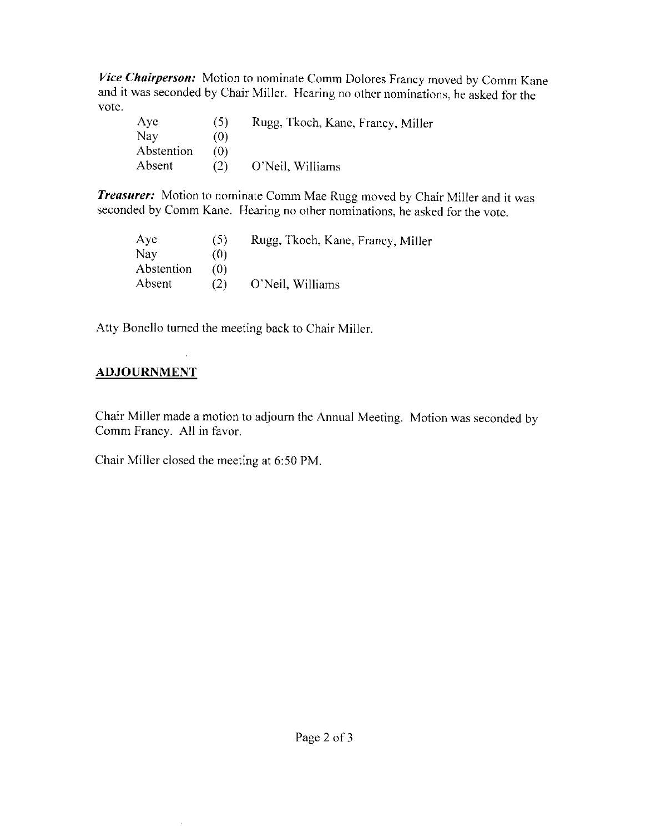Vice Chairperson: Motion to nominate Comm Dolores Francy moved by Comm Kane and it was seconded by Chair Miller. Hearing no other nominations, he asked for the vote.

| Ave        | (5) | Rugg, Tkoch, Kane, Francy, Miller |
|------------|-----|-----------------------------------|
| Nav        | (0) |                                   |
| Abstention | 70) |                                   |
| Absent     | (2) | O'Neil, Williams                  |

Treasurer: Motion to nominate Comm Mae Rugg moved by Chair Miller and it was seconded by Comm Kane. Hearing no other nominations, he asked for the vote.

| Aye        | (5) | Rugg, Tkoch, Kane, Francy, Miller |
|------------|-----|-----------------------------------|
| Nay        | (0) |                                   |
| Abstention | 70) |                                   |
| Absent     | (2) | O'Neil, Williams                  |

Atty Bonello turned the meeting back to Chair Miller.

# **ADJOURNMENT**

Chair Miller made a motion to adjourn the Annual Meeting. Motion was seconded by Comm Francy. All in favor.

Chair Miller closed the meeting at 6:50 PM.

 $\bar{1}$